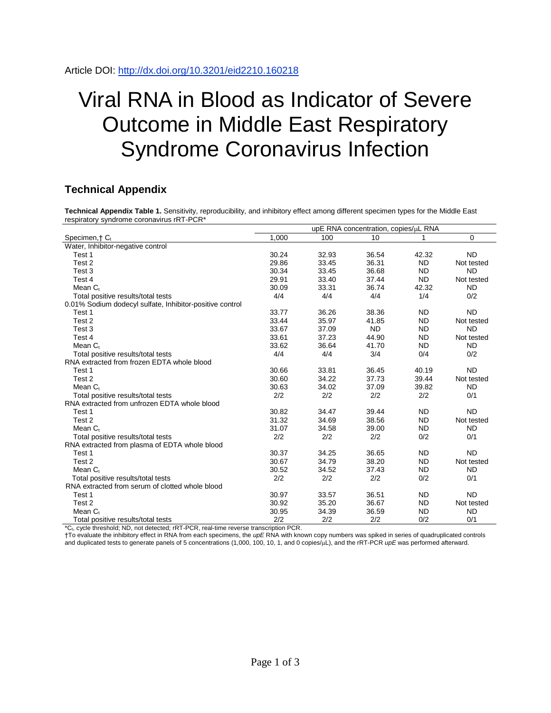## Viral RNA in Blood as Indicator of Severe Outcome in Middle East Respiratory Syndrome Coronavirus Infection

## **Technical Appendix**

**Technical Appendix Table 1.** Sensitivity, reproducibility, and inhibitory effect among different specimen types for the Middle East respiratory syndrome coronavirus rRT-PCR\*

|                                                          | upE RNA concentration, copies/µL RNA |       |           |           |            |  |  |  |  |
|----------------------------------------------------------|--------------------------------------|-------|-----------|-----------|------------|--|--|--|--|
| Specimen, + C <sub>t</sub>                               | 1,000                                | 100   | 10        |           | $\Omega$   |  |  |  |  |
| Water, Inhibitor-negative control                        |                                      |       |           |           |            |  |  |  |  |
| Test 1                                                   | 30.24                                | 32.93 | 36.54     | 42.32     | <b>ND</b>  |  |  |  |  |
| Test 2                                                   | 29.86                                | 33.45 | 36.31     | <b>ND</b> | Not tested |  |  |  |  |
| Test 3                                                   | 30.34                                | 33.45 | 36.68     | <b>ND</b> | <b>ND</b>  |  |  |  |  |
| Test 4                                                   | 29.91                                | 33.40 | 37.44     | <b>ND</b> | Not tested |  |  |  |  |
| Mean C <sub>t</sub>                                      | 30.09                                | 33.31 | 36.74     | 42.32     | <b>ND</b>  |  |  |  |  |
| Total positive results/total tests                       | 4/4                                  | 4/4   | 4/4       | 1/4       | 0/2        |  |  |  |  |
| 0.01% Sodium dodecyl sulfate, Inhibitor-positive control |                                      |       |           |           |            |  |  |  |  |
| Test 1                                                   | 33.77                                | 36.26 | 38.36     | <b>ND</b> | <b>ND</b>  |  |  |  |  |
| Test 2                                                   | 33.44                                | 35.97 | 41.85     | <b>ND</b> | Not tested |  |  |  |  |
| Test 3                                                   | 33.67                                | 37.09 | <b>ND</b> | <b>ND</b> | <b>ND</b>  |  |  |  |  |
| Test 4                                                   | 33.61                                | 37.23 | 44.90     | <b>ND</b> | Not tested |  |  |  |  |
| Mean $C_t$                                               | 33.62                                | 36.64 | 41.70     | <b>ND</b> | <b>ND</b>  |  |  |  |  |
| Total positive results/total tests                       | 4/4                                  | 4/4   | 3/4       | 0/4       | 0/2        |  |  |  |  |
| RNA extracted from frozen EDTA whole blood               |                                      |       |           |           |            |  |  |  |  |
| Test 1                                                   | 30.66                                | 33.81 | 36.45     | 40.19     | <b>ND</b>  |  |  |  |  |
| Test 2                                                   | 30.60                                | 34.22 | 37.73     | 39.44     | Not tested |  |  |  |  |
| Mean $C_t$                                               | 30.63                                | 34.02 | 37.09     | 39.82     | <b>ND</b>  |  |  |  |  |
| Total positive results/total tests                       | 2/2                                  | 2/2   | 2/2       | 2/2       | 0/1        |  |  |  |  |
| RNA extracted from unfrozen EDTA whole blood             |                                      |       |           |           |            |  |  |  |  |
| Test 1                                                   | 30.82                                | 34.47 | 39.44     | <b>ND</b> | <b>ND</b>  |  |  |  |  |
| Test 2                                                   | 31.32                                | 34.69 | 38.56     | <b>ND</b> | Not tested |  |  |  |  |
| Mean $C_t$                                               | 31.07                                | 34.58 | 39.00     | <b>ND</b> | <b>ND</b>  |  |  |  |  |
| Total positive results/total tests                       | 2/2                                  | 2/2   | 2/2       | 0/2       | 0/1        |  |  |  |  |
| RNA extracted from plasma of EDTA whole blood            |                                      |       |           |           |            |  |  |  |  |
| Test 1                                                   | 30.37                                | 34.25 | 36.65     | <b>ND</b> | <b>ND</b>  |  |  |  |  |
| Test 2                                                   | 30.67                                | 34.79 | 38.20     | <b>ND</b> | Not tested |  |  |  |  |
| Mean C <sub>t</sub>                                      | 30.52                                | 34.52 | 37.43     | <b>ND</b> | <b>ND</b>  |  |  |  |  |
| Total positive results/total tests                       | 2/2                                  | 2/2   | 2/2       | 0/2       | 0/1        |  |  |  |  |
| RNA extracted from serum of clotted whole blood          |                                      |       |           |           |            |  |  |  |  |
| Test 1                                                   | 30.97                                | 33.57 | 36.51     | <b>ND</b> | <b>ND</b>  |  |  |  |  |
| Test <sub>2</sub>                                        | 30.92                                | 35.20 | 36.67     | <b>ND</b> | Not tested |  |  |  |  |
| Mean $C_t$                                               | 30.95                                | 34.39 | 36.59     | <b>ND</b> | <b>ND</b>  |  |  |  |  |
| Total positive results/total tests                       | 2/2                                  | 2/2   | 2/2       | 0/2       | 0/1        |  |  |  |  |

\*Ct, cycle threshold; ND, not detected; rRT-PCR, real-time reverse transcription PCR.

†To evaluate the inhibitory effect in RNA from each specimens, the *upE* RNA with known copy numbers was spiked in series of quadruplicated controls and duplicated tests to generate panels of 5 concentrations (1,000, 100, 10, 1, and 0 copies/ $\mu$ L), and the rRT-PCR *upE* was performed afterward.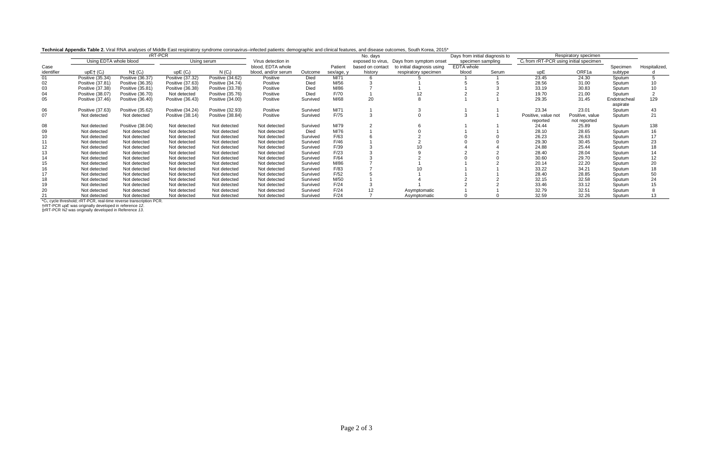**Technical Appendix Table 2.** Viral RNA analyses of Middle East respiratory syndrome coronavirus–infected patients: demographic and clinical features, and disease outcomes, South Korea, 2015\*

| <b>COMMODIAL CONSTRUCTS COMMODIAL CONSTRUCTS</b> COMMON CONTROL COMMON CONTROLS COMMONS THROUGH PULS RESERVED ON OTHER HOUGH COMMONS, UNDER SOLUTION, COMMONS, COMMONS, COMMONS, COMMONS, COMMONS, COMMONS, COMMONS, COMMONS, COMMO<br>rRT-PCR |                        |                               | No. days             |                    |                     |          | Days from initial diagnosis to |                  | Respiratory specimen                      |                   |       |                                          |                 |              |                 |
|------------------------------------------------------------------------------------------------------------------------------------------------------------------------------------------------------------------------------------------------|------------------------|-------------------------------|----------------------|--------------------|---------------------|----------|--------------------------------|------------------|-------------------------------------------|-------------------|-------|------------------------------------------|-----------------|--------------|-----------------|
|                                                                                                                                                                                                                                                | Using EDTA whole blood |                               | Using serum          |                    | Virus detection in  |          |                                |                  | exposed to virus, Days from symptom onset | specimen sampling |       | $Ct$ from rRT-PCR using initial specimen |                 |              |                 |
| Case                                                                                                                                                                                                                                           |                        |                               |                      |                    | blood. EDTA whole   |          | Patient                        | based on contact | to initial diagnosis using                | EDTA whole        |       |                                          |                 | Specimen     | Hospitalized,   |
| identifier                                                                                                                                                                                                                                     | up $E^+(C)$            | $N\ddagger$ (C <sub>t</sub> ) | upE(G <sub>t</sub> ) | N(G <sub>t</sub> ) | blood, and/or serum | Outcome  | sex/age, y                     | history          | respiratory specimen                      | blood             | Serum | upE                                      | ORF1a           | subtype      |                 |
| 01                                                                                                                                                                                                                                             | Positive (35.34)       | Positive (36.37)              | Positive (37.32)     | Positive (34.62)   | Positive            | Died     | M/71                           |                  |                                           |                   |       | 23.45                                    | 24.30           | Sputum       |                 |
| 02                                                                                                                                                                                                                                             | Positive (37.81)       | Positive (36.35)              | Positive (37.63)     | Positive (34.74)   | Positive            | Died     | M/56                           |                  |                                           |                   |       | 28.56                                    | 31.00           | Sputum       |                 |
| 03                                                                                                                                                                                                                                             | Positive (37.38)       | Positive (35.81)              | Positive (36.38)     | Positive (33.78)   | Positive            | Died     | M/86                           |                  |                                           |                   |       | 33.19                                    | 30.83           | Sputum       |                 |
| 04                                                                                                                                                                                                                                             | Positive (38.07)       | Positive (36.70)              | Not detected         | Positive (35.76)   | Positive            | Died     | F/70                           |                  |                                           |                   |       | 19.70                                    | 21.00           | Sputum       |                 |
| 05                                                                                                                                                                                                                                             | Positive (37.46)       | Positive (36.40)              | Positive (36.43)     | Positive (34.00)   | Positive            | Survived | M/68                           | 20               |                                           |                   |       | 29.35                                    | 31.45           | Endotracheal | 129             |
|                                                                                                                                                                                                                                                |                        |                               |                      |                    |                     |          |                                |                  |                                           |                   |       |                                          |                 | aspirate     |                 |
| 06                                                                                                                                                                                                                                             | Positive (37.63)       | Positive (35.62)              | Positive (34.24)     | Positive (32.93)   | Positive            | Survived | M/71                           |                  |                                           |                   |       | 23.34                                    | 23.01           | Sputum       | 43              |
| 07                                                                                                                                                                                                                                             | Not detected           | Not detected                  | Positive (38.14)     | Positive (38.84)   | Positive            | Survived | F/75                           |                  |                                           |                   |       | Positive, value not                      | Positive, value | Sputum       | 21              |
|                                                                                                                                                                                                                                                |                        |                               |                      |                    |                     |          |                                |                  |                                           |                   |       | reported                                 | not reported    |              |                 |
| 08                                                                                                                                                                                                                                             | Not detected           | Positive (38.04)              | Not detected         | Not detected       | Not detected        | Survived | M/79                           |                  |                                           |                   |       | 24.44                                    | 25.89           | Sputum       | 138             |
| 09                                                                                                                                                                                                                                             | Not detected           | Not detected                  | Not detected         | Not detected       | Not detected        | Died     | M/76                           |                  |                                           |                   |       | 28.10                                    | 28.65           | Sputum       | 16              |
| 10                                                                                                                                                                                                                                             | Not detected           | Not detected                  | Not detected         | Not detected       | Not detected        | Survived | F/63                           |                  |                                           |                   |       | 26.23                                    | 26.63           | Sputum       |                 |
|                                                                                                                                                                                                                                                | Not detected           | Not detected                  | Not detected         | Not detected       | Not detected        | Survived | F/46                           |                  |                                           |                   |       | 29.30                                    | 30.45           | Sputum       | 23              |
| 12                                                                                                                                                                                                                                             | Not detected           | Not detected                  | Not detected         | Not detected       | Not detected        | Survived | F/39                           |                  |                                           |                   |       | 24.88                                    | 25.44           | Sputum       |                 |
|                                                                                                                                                                                                                                                | Not detected           | Not detected                  | Not detected         | Not detected       | Not detected        | Survived | F/23                           |                  |                                           |                   |       | 28.40                                    | 28.04           | Sputum       |                 |
|                                                                                                                                                                                                                                                | Not detected           | Not detected                  | Not detected         | Not detected       | Not detected        | Survived | F/64                           |                  |                                           |                   |       | 30.60                                    | 29.70           | Sputum       | 12 <sup>2</sup> |
| 15                                                                                                                                                                                                                                             | Not detected           | Not detected                  | Not detected         | Not detected       | Not detected        | Survived | M/86                           |                  |                                           |                   |       | 20.14                                    | 22.20           | Sputum       | 20              |
| 16.                                                                                                                                                                                                                                            | Not detected           | Not detected                  | Not detected         | Not detected       | Not detected        | Survived | F/83                           |                  |                                           |                   |       | 33.22                                    | 34.21           | Sputum       |                 |
|                                                                                                                                                                                                                                                | Not detected           | Not detected                  | Not detected         | Not detected       | Not detected        | Survived | F/52                           |                  |                                           |                   |       | 28.40                                    | 28.85           | Sputum       | 50              |
|                                                                                                                                                                                                                                                | Not detected           | Not detected                  | Not detected         | Not detected       | Not detected        | Survived | M/50                           |                  |                                           |                   |       | 32.15                                    | 32.58           | Sputum       | 24              |
| 19                                                                                                                                                                                                                                             | Not detected           | Not detected                  | Not detected         | Not detected       | Not detected        | Survived | F/24                           |                  |                                           |                   |       | 33.46                                    | 33.12           | Sputum       |                 |
| 20                                                                                                                                                                                                                                             | Not detected           | Not detected                  | Not detected         | Not detected       | Not detected        | Survived | F/24                           |                  | Asymptomatic                              |                   |       | 32.79                                    | 32.51           | Sputum       |                 |
|                                                                                                                                                                                                                                                | Not detected           | Not detected                  | Not detected         | Not detected       | Not detected        | Survived | F/24                           |                  | Asymptomatic                              |                   |       | 32.59                                    | 32.26           | Sputum       |                 |

\*Ct, cycle threshold; rRT-PCR, real-time reverse transcription PCR.

†rRT-PCR *upE* was originally developed in reference *12*.

‡rRT-PCR *N2* was originally developed in Reference *13*.